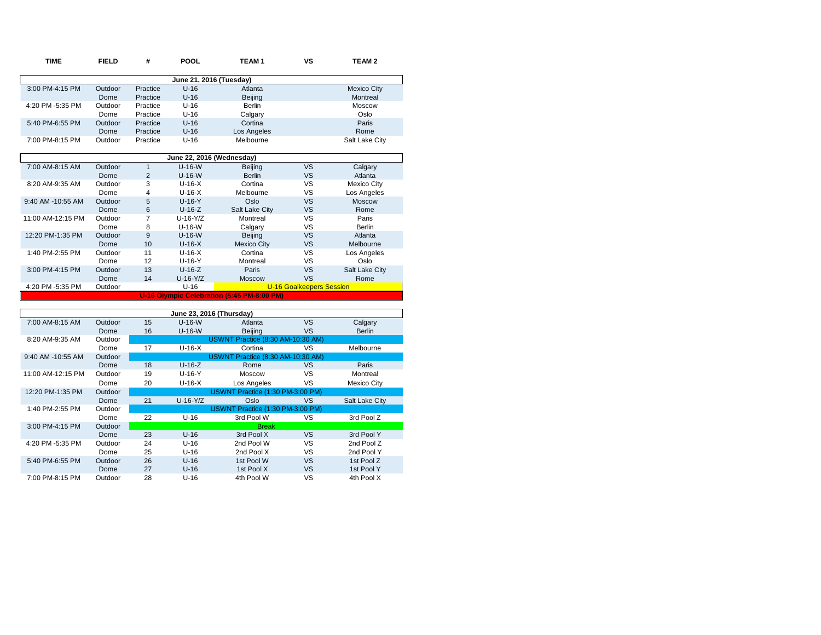| <b>TIME</b>       | <b>FIELD</b> | #              | POOL                      | TEAM <sub>1</sub>                          | <b>VS</b>                       | <b>TEAM2</b>       |
|-------------------|--------------|----------------|---------------------------|--------------------------------------------|---------------------------------|--------------------|
|                   |              |                | June 21, 2016 (Tuesday)   |                                            |                                 |                    |
| 3:00 PM-4:15 PM   | Outdoor      | Practice       | $U-16$                    | Atlanta                                    |                                 | <b>Mexico City</b> |
|                   | Dome         | Practice       | $U-16$                    | <b>Beijing</b>                             |                                 | Montreal           |
| 4:20 PM -5:35 PM  | Outdoor      | Practice       | $U-16$                    | <b>Berlin</b>                              |                                 | Moscow             |
|                   | Dome         | Practice       | $U-16$                    | Calgary                                    |                                 | Oslo               |
| 5:40 PM-6:55 PM   | Outdoor      | Practice       | $U-16$                    | Cortina                                    |                                 | Paris              |
|                   | Dome         | Practice       | $U-16$                    | Los Angeles                                |                                 | Rome               |
| 7:00 PM-8:15 PM   | Outdoor      | Practice       | $U-16$                    | Melbourne                                  |                                 | Salt Lake City     |
|                   |              |                | June 22, 2016 (Wednesday) |                                            |                                 |                    |
| 7:00 AM-8:15 AM   | Outdoor      | $\mathbf{1}$   | $U-16-W$                  | Beijing                                    | <b>VS</b>                       | Calgary            |
|                   | Dome         | $\overline{2}$ | $U-16-W$                  | <b>Berlin</b>                              | <b>VS</b>                       | Atlanta            |
| 8:20 AM-9:35 AM   | Outdoor      | 3              | $U-16-X$                  | Cortina                                    | <b>VS</b>                       | <b>Mexico City</b> |
|                   | Dome         | 4              | $U-16-X$                  | Melbourne                                  | <b>VS</b>                       | Los Angeles        |
| 9:40 AM -10:55 AM | Outdoor      | 5              | $U-16-Y$                  | Oslo                                       | <b>VS</b>                       | <b>Moscow</b>      |
|                   | Dome         | 6              | $U-16-Z$                  | Salt Lake City                             | <b>VS</b>                       | Rome               |
| 11:00 AM-12:15 PM | Outdoor      | 7              | $U-16-Y/Z$                | Montreal                                   | VS                              | Paris              |
|                   | Dome         | 8              | $U-16-W$                  | Calgary                                    | VS                              | <b>Berlin</b>      |
| 12:20 PM-1:35 PM  | Outdoor      | 9              | $U-16-W$                  | Beijing                                    | <b>VS</b>                       | Atlanta            |
|                   | Dome         | 10             | $U-16-X$                  | <b>Mexico City</b>                         | <b>VS</b>                       | Melbourne          |
| 1:40 PM-2:55 PM   | Outdoor      | 11             | $U-16-X$                  | Cortina                                    | VS                              | Los Angeles        |
|                   | Dome         | 12             | $U-16-Y$                  | Montreal                                   | VS                              | Oslo               |
| 3:00 PM-4:15 PM   | Outdoor      | 13             | $U-16-Z$                  | Paris                                      | <b>VS</b>                       | Salt Lake City     |
|                   | Dome         | 14             | $U-16-Y/Z$                | <b>Moscow</b>                              | VS                              | Rome               |
| 4:20 PM -5:35 PM  | Outdoor      |                | $U-16$                    |                                            | <b>U-16 Goalkeepers Session</b> |                    |
|                   |              |                |                           | U-16 Olympic Celebration (5:45 PM-8:00 PM) |                                 |                    |
|                   |              |                |                           |                                            |                                 |                    |
|                   |              |                | June 23, 2016 (Thursday)  |                                            |                                 |                    |
| 7:00 AM-8:15 AM   | Outdoor      | 15             | $U-16-W$                  | Atlanta                                    | <b>VS</b>                       | Calgary            |
|                   | Dome         | 16             | $U-16-W$                  | <b>Beijing</b>                             | VS                              | <b>Berlin</b>      |
| 8:20 AM-9:35 AM   | Outdoor      |                |                           | USWNT Practice (8:30 AM-10:30 AM)          |                                 |                    |
|                   | Dome         | 17             | $U-16-X$                  | Cortina                                    | VS                              | Melbourne          |
| 9:40 AM -10:55 AM | Outdoor      |                |                           | USWNT Practice (8:30 AM-10:30 AM)          |                                 |                    |

|                   | <b>UUUUU</b> |    |            |                                  |     |                |
|-------------------|--------------|----|------------|----------------------------------|-----|----------------|
|                   | Dome         | 18 | $U-16-Z$   | Rome                             | VS  | Paris          |
| 11:00 AM-12:15 PM | Outdoor      | 19 | $U-16-Y$   | Moscow                           | vs  | Montreal       |
|                   | Dome         | 20 | $U-16-X$   | Los Angeles                      | VS  | Mexico City    |
| 12:20 PM-1:35 PM  | Outdoor      |    |            | USWNT Practice (1:30 PM-3:00 PM) |     |                |
|                   | Dome         | 21 | $U-16-Y/Z$ | Oslo                             | VS. | Salt Lake City |
| 1:40 PM-2:55 PM   | Outdoor      |    |            | USWNT Practice (1:30 PM-3:00 PM) |     |                |
|                   | Dome         | 22 | $U-16$     | 3rd Pool W                       | vs  | 3rd Pool Z     |
| 3:00 PM-4:15 PM   | Outdoor      |    |            | <b>Break</b>                     |     |                |
|                   | Dome         | 23 | $U-16$     | 3rd Pool X                       | VS  | 3rd Pool Y     |
| 4:20 PM -5:35 PM  | Outdoor      | 24 | U-16       | 2nd Pool W                       | vs  | 2nd Pool Z     |
|                   | Dome         | 25 | $U-16$     | 2nd Pool X                       | vs  | 2nd Pool Y     |
| 5:40 PM-6:55 PM   | Outdoor      | 26 | $U-16$     | 1st Pool W                       | VS  | 1st Pool Z     |
|                   | Dome         | 27 | $U-16$     | 1st Pool X                       | VS  | 1st Pool Y     |
| 7:00 PM-8:15 PM   | Outdoor      | 28 | $U-16$     | 4th Pool W                       | VS  | 4th Pool X     |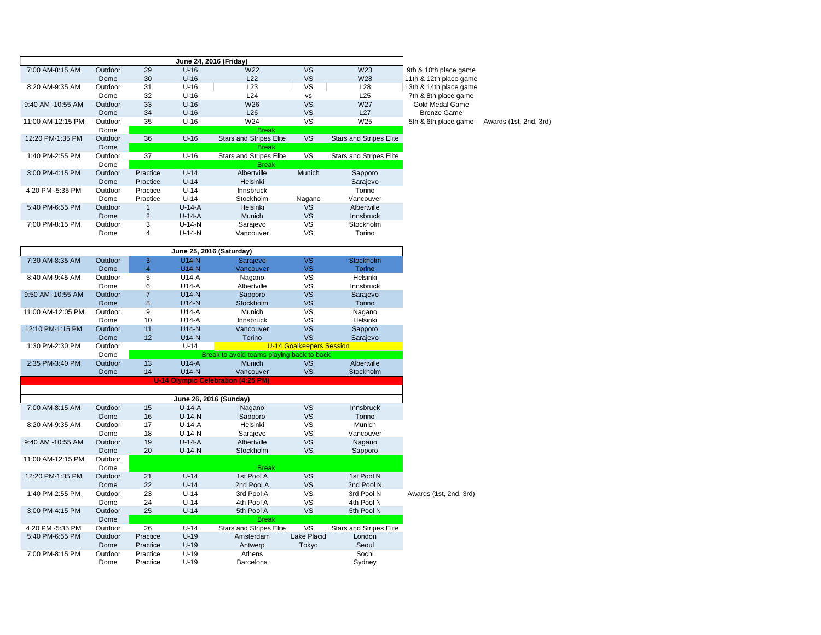|                   |         |                | June 24, 2016 (Friday) |                                |               |                                |                        |
|-------------------|---------|----------------|------------------------|--------------------------------|---------------|--------------------------------|------------------------|
| 7:00 AM-8:15 AM   | Outdoor | 29             | $U-16$                 | W <sub>22</sub>                | <b>VS</b>     | W <sub>23</sub>                | 9th & 10th place game  |
|                   | Dome    | 30             | $U-16$                 | L22                            | VS.           | W28                            | 11th & 12th place game |
| 8:20 AM-9:35 AM   | Outdoor | 31             | $U-16$                 | L23                            | VS.           | L28                            | 13th & 14th place game |
|                   | Dome    | 32             | $U-16$                 | L24                            | <b>VS</b>     | L25                            | 7th & 8th place game   |
| 9:40 AM -10:55 AM | Outdoor | 33             | $U-16$                 | W <sub>26</sub>                | <b>VS</b>     | W <sub>27</sub>                | Gold Medal Game        |
|                   | Dome    | 34             | $U-16$                 | L26                            | VS.           | L27                            | <b>Bronze Game</b>     |
| 11:00 AM-12:15 PM | Outdoor | 35             | $U-16$                 | W24                            | VS.           | W25                            | 5th & 6th place game   |
|                   | Dome    |                |                        | <b>Break</b>                   |               |                                |                        |
| 12:20 PM-1:35 PM  | Outdoor | 36             | $U-16$                 | <b>Stars and Stripes Elite</b> | <b>VS</b>     | <b>Stars and Stripes Elite</b> |                        |
|                   | Dome    |                |                        | <b>Break</b>                   |               |                                |                        |
| 1:40 PM-2:55 PM   | Outdoor | 37             | $U-16$                 | <b>Stars and Stripes Elite</b> | VS.           | <b>Stars and Stripes Elite</b> |                        |
|                   | Dome    |                |                        | <b>Break</b>                   |               |                                |                        |
| 3:00 PM-4:15 PM   | Outdoor | Practice       | $U-14$                 | Albertville                    | <b>Munich</b> | Sapporo                        |                        |
|                   | Dome    | Practice       | $U-14$                 | Helsinki                       |               | Sarajevo                       |                        |
| 4:20 PM -5:35 PM  | Outdoor | Practice       | $U-14$                 | <b>Innsbruck</b>               |               | Torino                         |                        |
|                   | Dome    | Practice       | $U-14$                 | Stockholm                      | Nagano        | Vancouver                      |                        |
| 5:40 PM-6:55 PM   | Outdoor |                | $U-14-A$               | Helsinki                       | VS.           | Albertville                    |                        |
|                   | Dome    | $\overline{2}$ | $U-14-A$               | Munich                         | VS.           | <b>Innsbruck</b>               |                        |
| 7:00 PM-8:15 PM   | Outdoor | 3              | $U-14-N$               | Sarajevo                       | VS.           | <b>Stockholm</b>               |                        |
|                   | Dome    | 4              | $U-14-N$               | Vancouver                      | vs            | Torino                         |                        |
|                   |         |                |                        |                                |               |                                |                        |

| June 25, 2016 (Saturday) |         |                         |          |                                           |                                 |                                |                        |
|--------------------------|---------|-------------------------|----------|-------------------------------------------|---------------------------------|--------------------------------|------------------------|
| 7:30 AM-8:35 AM          | Outdoor | 3                       | $U14-N$  | Sarajevo                                  | <b>VS</b>                       | Stockholm                      |                        |
|                          | Dome    | $\overline{\mathbf{4}}$ | $U14-N$  | Vancouver                                 | <b>VS</b>                       | <b>Torino</b>                  |                        |
| 8:40 AM-9:45 AM          | Outdoor | 5                       | $U14-A$  | Nagano                                    | VS                              | Helsinki                       |                        |
|                          | Dome    | 6                       | $U14-A$  | Albertville                               | VS                              | Innsbruck                      |                        |
| 9:50 AM -10:55 AM        | Outdoor | $\overline{7}$          | $U14-N$  | Sapporo                                   | <b>VS</b>                       | Sarajevo                       |                        |
|                          | Dome    | 8                       | $U14-N$  | Stockholm                                 | <b>VS</b>                       | Torino                         |                        |
| 11:00 AM-12:05 PM        | Outdoor | 9                       | $U14-A$  | Munich                                    | VS                              | Nagano                         |                        |
|                          | Dome    | 10                      | $U14-A$  | Innsbruck                                 | VS                              | Helsinki                       |                        |
| 12:10 PM-1:15 PM         | Outdoor | 11                      | $U14-N$  | Vancouver                                 | <b>VS</b>                       | Sapporo                        |                        |
|                          | Dome    | 12                      | $U14-N$  | Torino                                    | VS                              | Sarajevo                       |                        |
| 1:30 PM-2:30 PM          | Outdoor |                         | $U-14$   |                                           | <b>U-14 Goalkeepers Session</b> |                                |                        |
|                          | Dome    |                         |          | Break to avoid teams playing back to back |                                 |                                |                        |
| 2:35 PM-3:40 PM          | Outdoor | 13                      | $U14-A$  | Munich                                    | <b>VS</b>                       | Albertville                    |                        |
|                          | Dome    | 14                      | $U14-N$  | Vancouver                                 | <b>VS</b>                       | Stockholm                      |                        |
|                          |         |                         |          | <b>U-14 Olympic Celebration (4:25 PM)</b> |                                 |                                |                        |
|                          |         |                         |          |                                           |                                 |                                |                        |
|                          |         |                         |          | June 26, 2016 (Sunday)                    |                                 |                                |                        |
| 7:00 AM-8:15 AM          | Outdoor | 15                      | $U-14-A$ | Nagano                                    | <b>VS</b>                       | Innsbruck                      |                        |
|                          | Dome    | 16                      | $U-14-N$ | Sapporo                                   | <b>VS</b>                       | Torino                         |                        |
| 8:20 AM-9:35 AM          | Outdoor | 17                      | $U-14-A$ | Helsinki                                  | VS                              | Munich                         |                        |
|                          | Dome    | 18                      | $U-14-N$ | Sarajevo                                  | VS                              | Vancouver                      |                        |
| 9:40 AM -10:55 AM        | Outdoor | 19                      | $U-14-A$ | Albertville                               | <b>VS</b>                       | Nagano                         |                        |
|                          | Dome    | 20                      | $U-14-N$ | Stockholm                                 | <b>VS</b>                       | Sapporo                        |                        |
| 11:00 AM-12:15 PM        | Outdoor |                         |          |                                           |                                 |                                |                        |
|                          | Dome    |                         |          | <b>Break</b>                              |                                 |                                |                        |
| 12:20 PM-1:35 PM         | Outdoor | 21                      | $U-14$   | 1st Pool A                                | <b>VS</b>                       | 1st Pool N                     |                        |
|                          | Dome    | 22                      | $U-14$   | 2nd Pool A                                | <b>VS</b>                       | 2nd Pool N                     |                        |
| 1:40 PM-2:55 PM          | Outdoor | 23                      | $U-14$   | 3rd Pool A                                | VS                              | 3rd Pool N                     | Awards (1st, 2nd, 3rd) |
|                          | Dome    | 24                      | $U-14$   | 4th Pool A                                | VS                              | 4th Pool N                     |                        |
| 3:00 PM-4:15 PM          | Outdoor | 25                      | $U-14$   | 5th Pool A                                | <b>VS</b>                       | 5th Pool N                     |                        |
|                          | Dome    |                         |          | <b>Break</b>                              |                                 |                                |                        |
| 4:20 PM -5:35 PM         | Outdoor | 26                      | $U-14$   | <b>Stars and Stripes Elite</b>            | VS                              | <b>Stars and Stripes Elite</b> |                        |
| 5:40 PM-6:55 PM          | Outdoor | Practice                | $U-19$   | Amsterdam                                 | <b>Lake Placid</b>              | London                         |                        |
|                          | Dome    | Practice                | $U-19$   | Antwerp                                   | Tokyo                           | Seoul                          |                        |
| 7:00 PM-8:15 PM          | Outdoor | Practice                | $U-19$   | Athens                                    |                                 | Sochi                          |                        |
|                          | Dome    | Practice                | $U-19$   | Barcelona                                 |                                 | Sydney                         |                        |

ronze Game 6th place game Awards (1st, 2nd, 3rd)